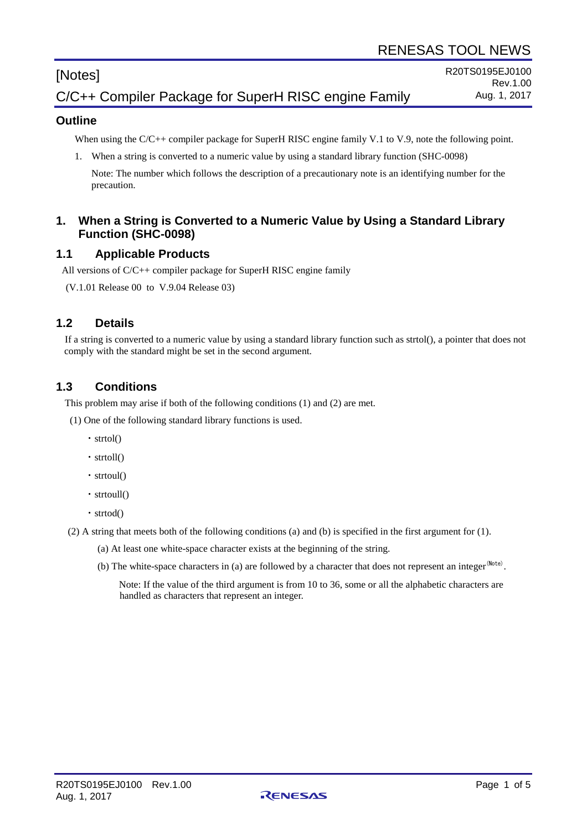# [Notes]

# C/C++ Compiler Package for SuperH RISC engine Family

#### **Outline**

When using the C/C++ compiler package for SuperH RISC engine family V.1 to V.9, note the following point.

1. When a string is converted to a numeric value by using a standard library function (SHC-0098)

Note: The number which follows the description of a precautionary note is an identifying number for the precaution.

#### **1. When a String is Converted to a Numeric Value by Using a Standard Library Function (SHC-0098)**

#### **1.1 Applicable Products**

All versions of C/C++ compiler package for SuperH RISC engine family

(V.1.01 Release 00 to V.9.04 Release 03)

## **1.2 Details**

If a string is converted to a numeric value by using a standard library function such as strtol(), a pointer that does not comply with the standard might be set in the second argument.

## **1.3 Conditions**

This problem may arise if both of the following conditions (1) and (2) are met.

(1) One of the following standard library functions is used.

- ・strtol()
- ・strtoll()
- ・strtoul()
- ・strtoull()
- ・strtod()

(2) A string that meets both of the following conditions (a) and (b) is specified in the first argument for (1).

- (a) At least one white-space character exists at the beginning of the string.
- (b) The white-space characters in (a) are followed by a character that does not represent an integer<sup>(Note)</sup>.

Note: If the value of the third argument is from 10 to 36, some or all the alphabetic characters are handled as characters that represent an integer.

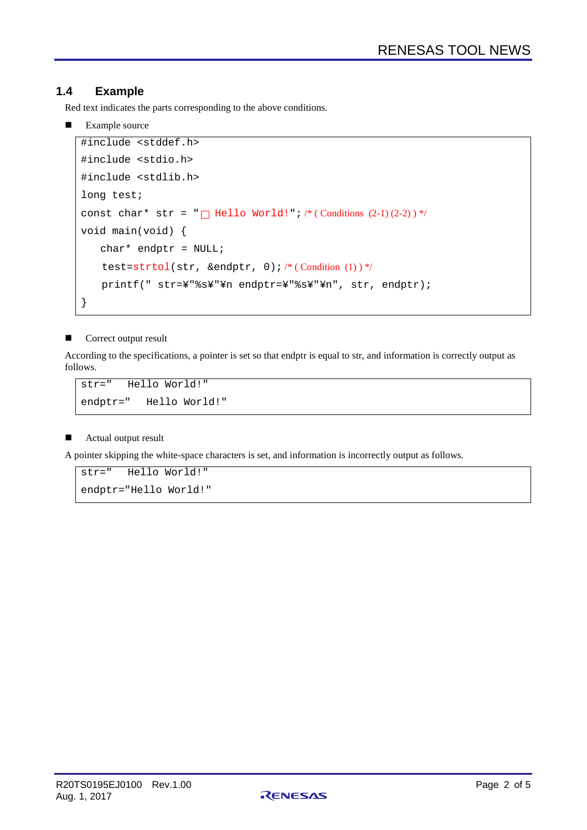#### **1.4 Example**

Red text indicates the parts corresponding to the above conditions.

**Example source** 

```
#include <stddef.h>
#include <stdio.h>
#include <stdlib.h>
long test;
const char* str = "\Box Hello World!"; /* (Conditions (2-1) (2-2) ) */
void main(void) {
   char* endptr = NULL;
   test=strtol(str, &endptr, 0); /* (Condition (1))*/
   printf(" str=¥"%s¥"¥n endptr=¥"%s¥"¥n", str, endptr);
}
```
#### **Correct output result**

According to the specifications, a pointer is set so that endptr is equal to str, and information is correctly output as follows.

str=" Hello World!" endptr=" Hello World!"

#### Actual output result

A pointer skipping the white-space characters is set, and information is incorrectly output as follows.

```
str=" Hello World!"
endptr="Hello World!"
```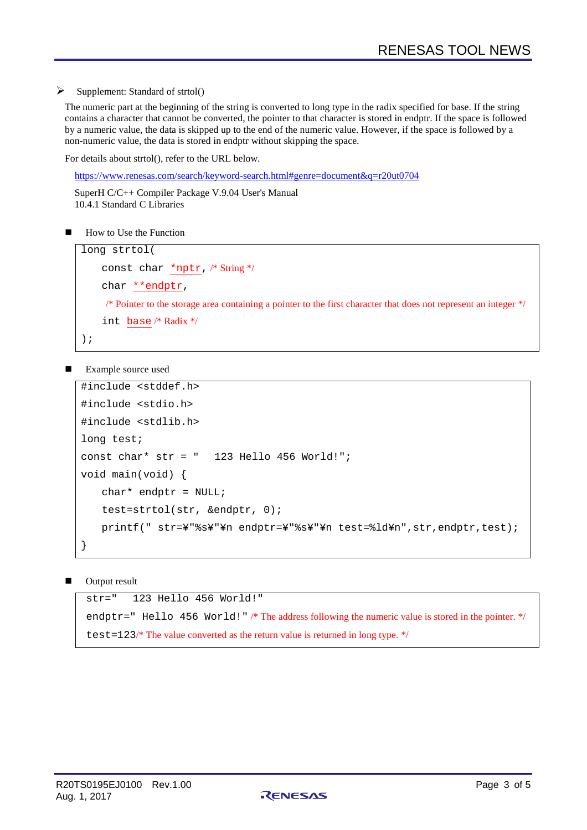Supplement: Standard of strtol()

The numeric part at the beginning of the string is converted to long type in the radix specified for base. If the string contains a character that cannot be converted, the pointer to that character is stored in endptr. If the space is followed by a numeric value, the data is skipped up to the end of the numeric value. However, if the space is followed by a non-numeric value, the data is stored in endptr without skipping the space.

For details about strtol(), refer to the URL below.

<https://www.renesas.com/search/keyword-search.html#genre=document&q=r20ut0704>

SuperH C/C++ Compiler [Package V.9.04 User's Manual](https://www.renesas.com/ja-jp/doc/products/tool/doc/001/r20ut0704jj0101_shc_optimz.pdf) 10.4.1 Standard C Libraries

How to Use the Function

```
long strtol(
    const char *nptr, /* String */
    char **endptr, 
     /* Pointer to the storage area containing a pointer to the first character that does not represent an integer */
    int base /* Radix */
);
```
Example source used

```
#include <stddef.h>
#include <stdio.h>
#include <stdlib.h>
long test;
const char* str = " 123 Hello 456 World!";
void main(void) {
   char* endptr = NULL;
    test=strtol(str, &endptr, 0);
   printf(" str=¥"%s¥"¥n endptr=¥"%s¥"¥n test=%ld¥n",str,endptr,test);
}
```
Output result

```
str=" 123 Hello 456 World!"
endptr=" Hello 456 World!" /* The address following the numeric value is stored in the pointer. */
test=123/* The value converted as the return value is returned in long type. */
```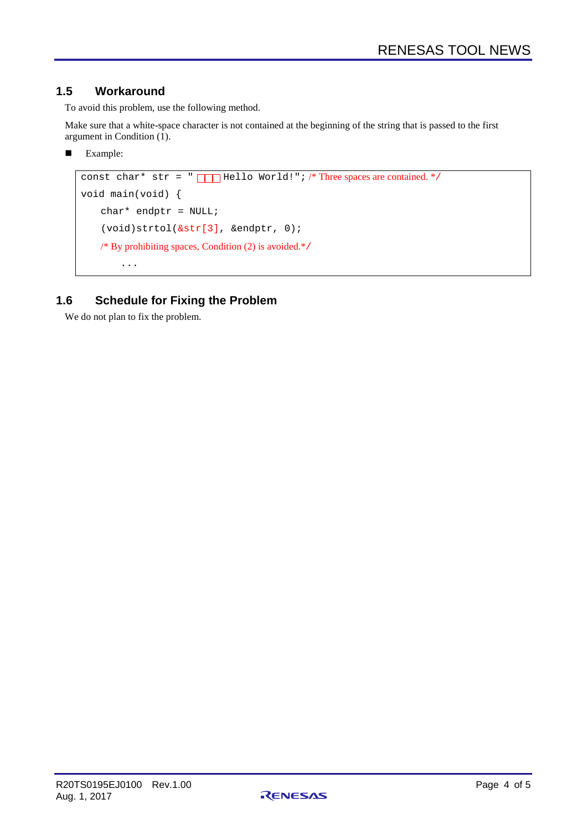### **1.5 Workaround**

To avoid this problem, use the following method.

Make sure that a white-space character is not contained at the beginning of the string that is passed to the first argument in Condition (1).

**Example:** 

```
const char* str = " \Box Hello World!"; /* Three spaces are contained. */
void main(void) {
    char* endptr = NULL;
    (void)strtol(&str[3], &endptr, 0); 
    /* By prohibiting spaces, Condition (2) is avoided.*/
         ...
```
## **1.6 Schedule for Fixing the Problem**

We do not plan to fix the problem.